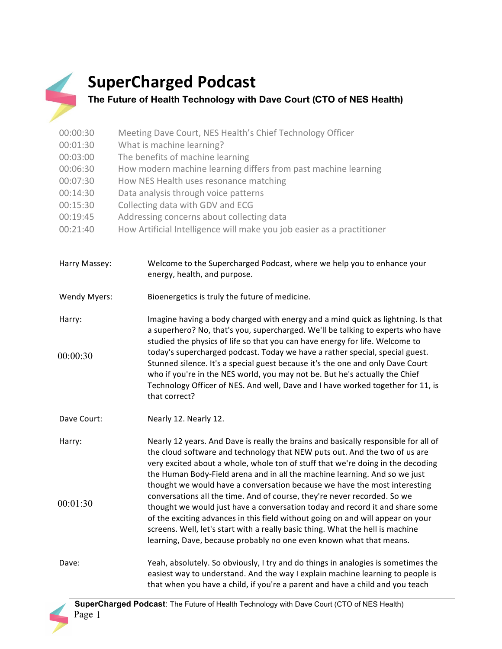## **SuperCharged Podcast**

## **The Future of Health Technology with Dave Court (CTO of NES Health)**

| 00:00:30 | Meeting Dave Court, NES Health's Chief Technology Officer              |
|----------|------------------------------------------------------------------------|
| 00:01:30 | What is machine learning?                                              |
| 00:03:00 | The benefits of machine learning                                       |
| 00:06:30 | How modern machine learning differs from past machine learning         |
| 00:07:30 | How NES Health uses resonance matching                                 |
| 00:14:30 | Data analysis through voice patterns                                   |
| 00:15:30 | Collecting data with GDV and ECG                                       |
| 00:19:45 | Addressing concerns about collecting data                              |
| 00:21:40 | How Artificial Intelligence will make you job easier as a practitioner |

| Harry Massey:       | Welcome to the Supercharged Podcast, where we help you to enhance your<br>energy, health, and purpose.                                                                                                                                                                                                                                            |
|---------------------|---------------------------------------------------------------------------------------------------------------------------------------------------------------------------------------------------------------------------------------------------------------------------------------------------------------------------------------------------|
| <b>Wendy Myers:</b> | Bioenergetics is truly the future of medicine.                                                                                                                                                                                                                                                                                                    |
| Harry:              | Imagine having a body charged with energy and a mind quick as lightning. Is that<br>a superhero? No, that's you, supercharged. We'll be talking to experts who have<br>studied the physics of life so that you can have energy for life. Welcome to                                                                                               |
| 00:00:30            | today's supercharged podcast. Today we have a rather special, special guest.<br>Stunned silence. It's a special guest because it's the one and only Dave Court<br>who if you're in the NES world, you may not be. But he's actually the Chief<br>Technology Officer of NES. And well, Dave and I have worked together for 11, is<br>that correct? |
| Dave Court:         | Nearly 12. Nearly 12.                                                                                                                                                                                                                                                                                                                             |
| Harry:              | Nearly 12 years. And Dave is really the brains and basically responsible for all of<br>the cloud software and technology that NEW puts out. And the two of us are<br>very excited about a whole, whole ton of stuff that we're doing in the decoding                                                                                              |

the Human Body-Field arena and in all the machine learning. And so we just thought we would have a conversation because we have the most interesting conversations all the time. And of course, they're never recorded. So we thought we would just have a conversation today and record it and share some of the exciting advances in this field without going on and will appear on your screens. Well, let's start with a really basic thing. What the hell is machine learning, Dave, because probably no one even known what that means. 00:01:30

Dave: Yeah, absolutely. So obviously, I try and do things in analogies is sometimes the easiest way to understand. And the way I explain machine learning to people is that when you have a child, if you're a parent and have a child and you teach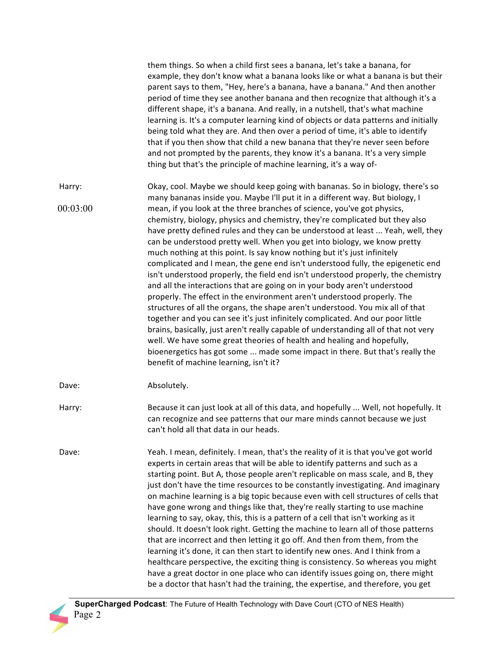|          | them things. So when a child first sees a banana, let's take a banana, for<br>example, they don't know what a banana looks like or what a banana is but their<br>parent says to them, "Hey, here's a banana, have a banana." And then another<br>period of time they see another banana and then recognize that although it's a<br>different shape, it's a banana. And really, in a nutshell, that's what machine<br>learning is. It's a computer learning kind of objects or data patterns and initially<br>being told what they are. And then over a period of time, it's able to identify<br>that if you then show that child a new banana that they're never seen before<br>and not prompted by the parents, they know it's a banana. It's a very simple<br>thing but that's the principle of machine learning, it's a way of-                                                                                                                                                                                                                                                                                                                                                                                                                                                 |
|----------|------------------------------------------------------------------------------------------------------------------------------------------------------------------------------------------------------------------------------------------------------------------------------------------------------------------------------------------------------------------------------------------------------------------------------------------------------------------------------------------------------------------------------------------------------------------------------------------------------------------------------------------------------------------------------------------------------------------------------------------------------------------------------------------------------------------------------------------------------------------------------------------------------------------------------------------------------------------------------------------------------------------------------------------------------------------------------------------------------------------------------------------------------------------------------------------------------------------------------------------------------------------------------------|
| Harry:   | Okay, cool. Maybe we should keep going with bananas. So in biology, there's so                                                                                                                                                                                                                                                                                                                                                                                                                                                                                                                                                                                                                                                                                                                                                                                                                                                                                                                                                                                                                                                                                                                                                                                                     |
| 00:03:00 | many bananas inside you. Maybe I'll put it in a different way. But biology, I<br>mean, if you look at the three branches of science, you've got physics,<br>chemistry, biology, physics and chemistry, they're complicated but they also<br>have pretty defined rules and they can be understood at least  Yeah, well, they<br>can be understood pretty well. When you get into biology, we know pretty<br>much nothing at this point. Is say know nothing but it's just infinitely<br>complicated and I mean, the gene end isn't understood fully, the epigenetic end<br>isn't understood properly, the field end isn't understood properly, the chemistry<br>and all the interactions that are going on in your body aren't understood<br>properly. The effect in the environment aren't understood properly. The<br>structures of all the organs, the shape aren't understood. You mix all of that<br>together and you can see it's just infinitely complicated. And our poor little<br>brains, basically, just aren't really capable of understanding all of that not very<br>well. We have some great theories of health and healing and hopefully,<br>bioenergetics has got some  made some impact in there. But that's really the<br>benefit of machine learning, isn't it? |
| Dave:    | Absolutely.                                                                                                                                                                                                                                                                                                                                                                                                                                                                                                                                                                                                                                                                                                                                                                                                                                                                                                                                                                                                                                                                                                                                                                                                                                                                        |
| Harry:   | Because it can just look at all of this data, and hopefully  Well, not hopefully. It<br>can recognize and see patterns that our mare minds cannot because we just<br>can't hold all that data in our heads.                                                                                                                                                                                                                                                                                                                                                                                                                                                                                                                                                                                                                                                                                                                                                                                                                                                                                                                                                                                                                                                                        |
| Dave:    | Yeah. I mean, definitely. I mean, that's the reality of it is that you've got world<br>experts in certain areas that will be able to identify patterns and such as a<br>starting point. But A, those people aren't replicable on mass scale, and B, they<br>just don't have the time resources to be constantly investigating. And imaginary<br>on machine learning is a big topic because even with cell structures of cells that<br>have gone wrong and things like that, they're really starting to use machine<br>learning to say, okay, this, this is a pattern of a cell that isn't working as it<br>should. It doesn't look right. Getting the machine to learn all of those patterns<br>that are incorrect and then letting it go off. And then from them, from the<br>learning it's done, it can then start to identify new ones. And I think from a<br>healthcare perspective, the exciting thing is consistency. So whereas you might<br>have a great doctor in one place who can identify issues going on, there might<br>be a doctor that hasn't had the training, the expertise, and therefore, you get                                                                                                                                                              |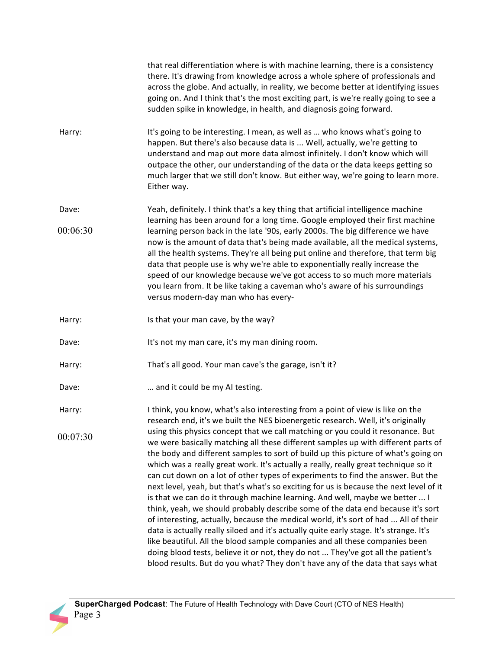|          | that real differentiation where is with machine learning, there is a consistency<br>there. It's drawing from knowledge across a whole sphere of professionals and<br>across the globe. And actually, in reality, we become better at identifying issues<br>going on. And I think that's the most exciting part, is we're really going to see a<br>sudden spike in knowledge, in health, and diagnosis going forward.                                                                                                                                                                                                                                                                                                                                                                                                                                                                                                                                                                                                                                                                                                                   |
|----------|----------------------------------------------------------------------------------------------------------------------------------------------------------------------------------------------------------------------------------------------------------------------------------------------------------------------------------------------------------------------------------------------------------------------------------------------------------------------------------------------------------------------------------------------------------------------------------------------------------------------------------------------------------------------------------------------------------------------------------------------------------------------------------------------------------------------------------------------------------------------------------------------------------------------------------------------------------------------------------------------------------------------------------------------------------------------------------------------------------------------------------------|
| Harry:   | It's going to be interesting. I mean, as well as  who knows what's going to<br>happen. But there's also because data is  Well, actually, we're getting to<br>understand and map out more data almost infinitely. I don't know which will<br>outpace the other, our understanding of the data or the data keeps getting so<br>much larger that we still don't know. But either way, we're going to learn more.<br>Either way.                                                                                                                                                                                                                                                                                                                                                                                                                                                                                                                                                                                                                                                                                                           |
| Dave:    | Yeah, definitely. I think that's a key thing that artificial intelligence machine                                                                                                                                                                                                                                                                                                                                                                                                                                                                                                                                                                                                                                                                                                                                                                                                                                                                                                                                                                                                                                                      |
| 00:06:30 | learning has been around for a long time. Google employed their first machine<br>learning person back in the late '90s, early 2000s. The big difference we have<br>now is the amount of data that's being made available, all the medical systems,<br>all the health systems. They're all being put online and therefore, that term big<br>data that people use is why we're able to exponentially really increase the<br>speed of our knowledge because we've got access to so much more materials<br>you learn from. It be like taking a caveman who's aware of his surroundings<br>versus modern-day man who has every-                                                                                                                                                                                                                                                                                                                                                                                                                                                                                                             |
| Harry:   | Is that your man cave, by the way?                                                                                                                                                                                                                                                                                                                                                                                                                                                                                                                                                                                                                                                                                                                                                                                                                                                                                                                                                                                                                                                                                                     |
| Dave:    | It's not my man care, it's my man dining room.                                                                                                                                                                                                                                                                                                                                                                                                                                                                                                                                                                                                                                                                                                                                                                                                                                                                                                                                                                                                                                                                                         |
| Harry:   | That's all good. Your man cave's the garage, isn't it?                                                                                                                                                                                                                                                                                                                                                                                                                                                                                                                                                                                                                                                                                                                                                                                                                                                                                                                                                                                                                                                                                 |
| Dave:    | and it could be my AI testing.                                                                                                                                                                                                                                                                                                                                                                                                                                                                                                                                                                                                                                                                                                                                                                                                                                                                                                                                                                                                                                                                                                         |
| Harry:   | I think, you know, what's also interesting from a point of view is like on the<br>research end, it's we built the NES bioenergetic research. Well, it's originally                                                                                                                                                                                                                                                                                                                                                                                                                                                                                                                                                                                                                                                                                                                                                                                                                                                                                                                                                                     |
| 00:07:30 | using this physics concept that we call matching or you could it resonance. But<br>we were basically matching all these different samples up with different parts of<br>the body and different samples to sort of build up this picture of what's going on<br>which was a really great work. It's actually a really, really great technique so it<br>can cut down on a lot of other types of experiments to find the answer. But the<br>next level, yeah, but that's what's so exciting for us is because the next level of it<br>is that we can do it through machine learning. And well, maybe we better  I<br>think, yeah, we should probably describe some of the data end because it's sort<br>of interesting, actually, because the medical world, it's sort of had  All of their<br>data is actually really siloed and it's actually quite early stage. It's strange. It's<br>like beautiful. All the blood sample companies and all these companies been<br>doing blood tests, believe it or not, they do not  They've got all the patient's<br>blood results. But do you what? They don't have any of the data that says what |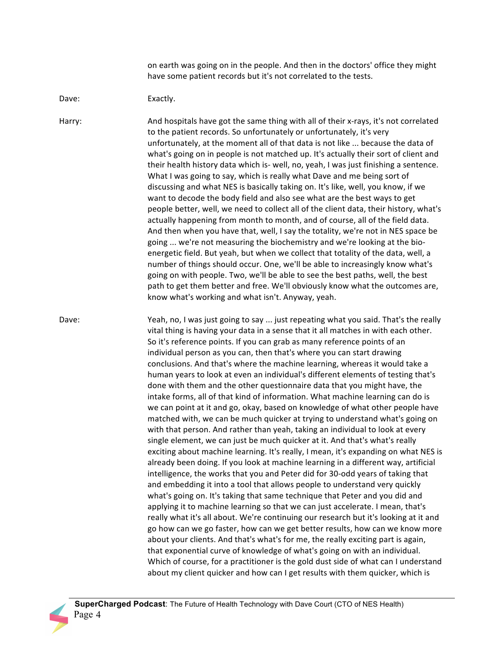on earth was going on in the people. And then in the doctors' office they might have some patient records but it's not correlated to the tests.

## Dave: Exactly.

Harry: And hospitals have got the same thing with all of their x-rays, it's not correlated to the patient records. So unfortunately or unfortunately, it's very unfortunately, at the moment all of that data is not like ... because the data of what's going on in people is not matched up. It's actually their sort of client and their health history data which is- well, no, yeah, I was just finishing a sentence. What I was going to say, which is really what Dave and me being sort of discussing and what NES is basically taking on. It's like, well, you know, if we want to decode the body field and also see what are the best ways to get people better, well, we need to collect all of the client data, their history, what's actually happening from month to month, and of course, all of the field data. And then when you have that, well, I say the totality, we're not in NES space be going ... we're not measuring the biochemistry and we're looking at the bioenergetic field. But yeah, but when we collect that totality of the data, well, a number of things should occur. One, we'll be able to increasingly know what's going on with people. Two, we'll be able to see the best paths, well, the best path to get them better and free. We'll obviously know what the outcomes are, know what's working and what isn't. Anyway, yeah.

Dave: Yeah, no, I was just going to say ... just repeating what you said. That's the really vital thing is having your data in a sense that it all matches in with each other. So it's reference points. If you can grab as many reference points of an individual person as you can, then that's where you can start drawing conclusions. And that's where the machine learning, whereas it would take a human years to look at even an individual's different elements of testing that's done with them and the other questionnaire data that you might have, the intake forms, all of that kind of information. What machine learning can do is we can point at it and go, okay, based on knowledge of what other people have matched with, we can be much quicker at trying to understand what's going on with that person. And rather than yeah, taking an individual to look at every single element, we can just be much quicker at it. And that's what's really exciting about machine learning. It's really, I mean, it's expanding on what NES is already been doing. If you look at machine learning in a different way, artificial intelligence, the works that you and Peter did for 30-odd years of taking that and embedding it into a tool that allows people to understand very quickly what's going on. It's taking that same technique that Peter and you did and applying it to machine learning so that we can just accelerate. I mean, that's really what it's all about. We're continuing our research but it's looking at it and go how can we go faster, how can we get better results, how can we know more about your clients. And that's what's for me, the really exciting part is again, that exponential curve of knowledge of what's going on with an individual. Which of course, for a practitioner is the gold dust side of what can I understand about my client quicker and how can I get results with them quicker, which is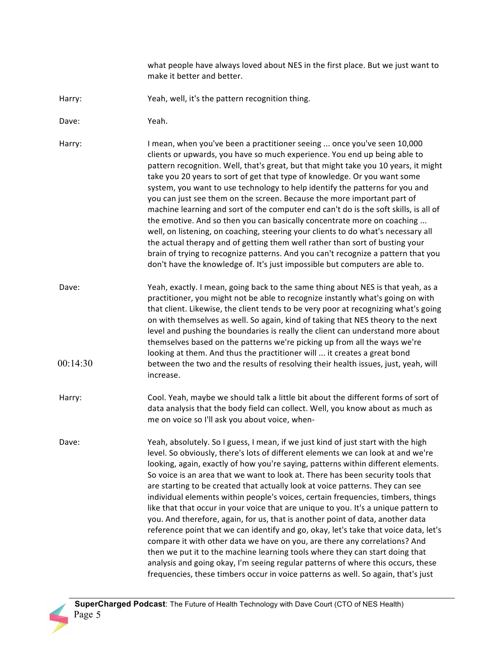what people have always loved about NES in the first place. But we just want to make it better and better.

- Harry: Yeah, well, it's the pattern recognition thing.
- Dave: Yeah.

Harry: Imean, when you've been a practitioner seeing ... once you've seen 10,000 clients or upwards, you have so much experience. You end up being able to pattern recognition. Well, that's great, but that might take you 10 years, it might take you 20 years to sort of get that type of knowledge. Or you want some system, you want to use technology to help identify the patterns for you and you can just see them on the screen. Because the more important part of machine learning and sort of the computer end can't do is the soft skills, is all of the emotive. And so then you can basically concentrate more on coaching ... well, on listening, on coaching, steering your clients to do what's necessary all the actual therapy and of getting them well rather than sort of busting your brain of trying to recognize patterns. And you can't recognize a pattern that you don't have the knowledge of. It's just impossible but computers are able to.

- Dave: Yeah, exactly. I mean, going back to the same thing about NES is that yeah, as a practitioner, you might not be able to recognize instantly what's going on with that client. Likewise, the client tends to be very poor at recognizing what's going on with themselves as well. So again, kind of taking that NES theory to the next level and pushing the boundaries is really the client can understand more about themselves based on the patterns we're picking up from all the ways we're looking at them. And thus the practitioner will ... it creates a great bond between the two and the results of resolving their health issues, just, yeah, will increase.  $00:14:30$
- Harry: Cool. Yeah, maybe we should talk a little bit about the different forms of sort of data analysis that the body field can collect. Well, you know about as much as me on voice so I'll ask you about voice, when-

Dave: Yeah, absolutely. So I guess, I mean, if we just kind of just start with the high level. So obviously, there's lots of different elements we can look at and we're looking, again, exactly of how you're saying, patterns within different elements. So voice is an area that we want to look at. There has been security tools that are starting to be created that actually look at voice patterns. They can see individual elements within people's voices, certain frequencies, timbers, things like that that occur in your voice that are unique to you. It's a unique pattern to you. And therefore, again, for us, that is another point of data, another data reference point that we can identify and go, okay, let's take that voice data, let's compare it with other data we have on you, are there any correlations? And then we put it to the machine learning tools where they can start doing that analysis and going okay, I'm seeing regular patterns of where this occurs, these frequencies, these timbers occur in voice patterns as well. So again, that's just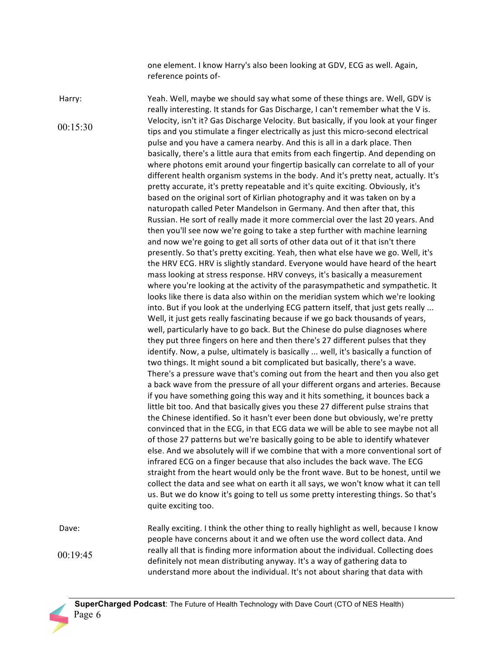one element. I know Harry's also been looking at GDV, ECG as well. Again, reference points of-

Harry: Yeah. Well, maybe we should say what some of these things are. Well, GDV is really interesting. It stands for Gas Discharge, I can't remember what the V is. Velocity, isn't it? Gas Discharge Velocity. But basically, if you look at your finger tips and you stimulate a finger electrically as just this micro-second electrical pulse and you have a camera nearby. And this is all in a dark place. Then basically, there's a little aura that emits from each fingertip. And depending on where photons emit around your fingertip basically can correlate to all of your different health organism systems in the body. And it's pretty neat, actually. It's pretty accurate, it's pretty repeatable and it's quite exciting. Obviously, it's based on the original sort of Kirlian photography and it was taken on by a naturopath called Peter Mandelson in Germany. And then after that, this Russian. He sort of really made it more commercial over the last 20 years. And then you'll see now we're going to take a step further with machine learning and now we're going to get all sorts of other data out of it that isn't there presently. So that's pretty exciting. Yeah, then what else have we go. Well, it's the HRV ECG. HRV is slightly standard. Everyone would have heard of the heart mass looking at stress response. HRV conveys, it's basically a measurement where you're looking at the activity of the parasympathetic and sympathetic. It looks like there is data also within on the meridian system which we're looking into. But if you look at the underlying ECG pattern itself, that just gets really ... Well, it just gets really fascinating because if we go back thousands of years, well, particularly have to go back. But the Chinese do pulse diagnoses where they put three fingers on here and then there's 27 different pulses that they identify. Now, a pulse, ultimately is basically ... well, it's basically a function of two things. It might sound a bit complicated but basically, there's a wave. There's a pressure wave that's coming out from the heart and then you also get a back wave from the pressure of all your different organs and arteries. Because if you have something going this way and it hits something, it bounces back a little bit too. And that basically gives you these 27 different pulse strains that the Chinese identified. So it hasn't ever been done but obviously, we're pretty convinced that in the ECG, in that ECG data we will be able to see maybe not all of those 27 patterns but we're basically going to be able to identify whatever else. And we absolutely will if we combine that with a more conventional sort of infrared ECG on a finger because that also includes the back wave. The ECG straight from the heart would only be the front wave. But to be honest, until we collect the data and see what on earth it all says, we won't know what it can tell us. But we do know it's going to tell us some pretty interesting things. So that's quite exciting too. Dave: Really exciting. I think the other thing to really highlight as well, because I know 00:15:30

people have concerns about it and we often use the word collect data. And really all that is finding more information about the individual. Collecting does definitely not mean distributing anyway. It's a way of gathering data to understand more about the individual. It's not about sharing that data with 00:19:45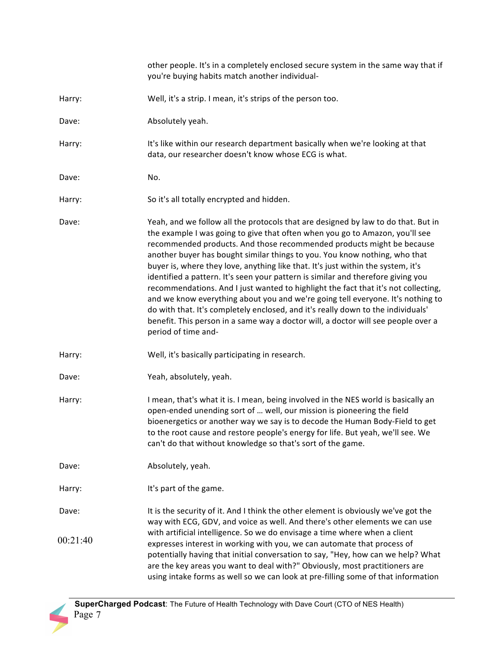|          | other people. It's in a completely enclosed secure system in the same way that if<br>you're buying habits match another individual-                                                                                                                                                                                                                                                                                                                                                                                                                                                                                                                                                                                                                                                                                                                                       |
|----------|---------------------------------------------------------------------------------------------------------------------------------------------------------------------------------------------------------------------------------------------------------------------------------------------------------------------------------------------------------------------------------------------------------------------------------------------------------------------------------------------------------------------------------------------------------------------------------------------------------------------------------------------------------------------------------------------------------------------------------------------------------------------------------------------------------------------------------------------------------------------------|
| Harry:   | Well, it's a strip. I mean, it's strips of the person too.                                                                                                                                                                                                                                                                                                                                                                                                                                                                                                                                                                                                                                                                                                                                                                                                                |
| Dave:    | Absolutely yeah.                                                                                                                                                                                                                                                                                                                                                                                                                                                                                                                                                                                                                                                                                                                                                                                                                                                          |
| Harry:   | It's like within our research department basically when we're looking at that<br>data, our researcher doesn't know whose ECG is what.                                                                                                                                                                                                                                                                                                                                                                                                                                                                                                                                                                                                                                                                                                                                     |
| Dave:    | No.                                                                                                                                                                                                                                                                                                                                                                                                                                                                                                                                                                                                                                                                                                                                                                                                                                                                       |
| Harry:   | So it's all totally encrypted and hidden.                                                                                                                                                                                                                                                                                                                                                                                                                                                                                                                                                                                                                                                                                                                                                                                                                                 |
| Dave:    | Yeah, and we follow all the protocols that are designed by law to do that. But in<br>the example I was going to give that often when you go to Amazon, you'll see<br>recommended products. And those recommended products might be because<br>another buyer has bought similar things to you. You know nothing, who that<br>buyer is, where they love, anything like that. It's just within the system, it's<br>identified a pattern. It's seen your pattern is similar and therefore giving you<br>recommendations. And I just wanted to highlight the fact that it's not collecting,<br>and we know everything about you and we're going tell everyone. It's nothing to<br>do with that. It's completely enclosed, and it's really down to the individuals'<br>benefit. This person in a same way a doctor will, a doctor will see people over a<br>period of time and- |
| Harry:   | Well, it's basically participating in research.                                                                                                                                                                                                                                                                                                                                                                                                                                                                                                                                                                                                                                                                                                                                                                                                                           |
| Dave:    | Yeah, absolutely, yeah.                                                                                                                                                                                                                                                                                                                                                                                                                                                                                                                                                                                                                                                                                                                                                                                                                                                   |
| Harry:   | I mean, that's what it is. I mean, being involved in the NES world is basically an<br>open-ended unending sort of  well, our mission is pioneering the field<br>bioenergetics or another way we say is to decode the Human Body-Field to get<br>to the root cause and restore people's energy for life. But yeah, we'll see. We<br>can't do that without knowledge so that's sort of the game.                                                                                                                                                                                                                                                                                                                                                                                                                                                                            |
| Dave:    | Absolutely, yeah.                                                                                                                                                                                                                                                                                                                                                                                                                                                                                                                                                                                                                                                                                                                                                                                                                                                         |
| Harry:   | It's part of the game.                                                                                                                                                                                                                                                                                                                                                                                                                                                                                                                                                                                                                                                                                                                                                                                                                                                    |
| Dave:    | It is the security of it. And I think the other element is obviously we've got the<br>way with ECG, GDV, and voice as well. And there's other elements we can use<br>with artificial intelligence. So we do envisage a time where when a client                                                                                                                                                                                                                                                                                                                                                                                                                                                                                                                                                                                                                           |
| 00:21:40 | expresses interest in working with you, we can automate that process of<br>potentially having that initial conversation to say, "Hey, how can we help? What<br>are the key areas you want to deal with?" Obviously, most practitioners are<br>using intake forms as well so we can look at pre-filling some of that information                                                                                                                                                                                                                                                                                                                                                                                                                                                                                                                                           |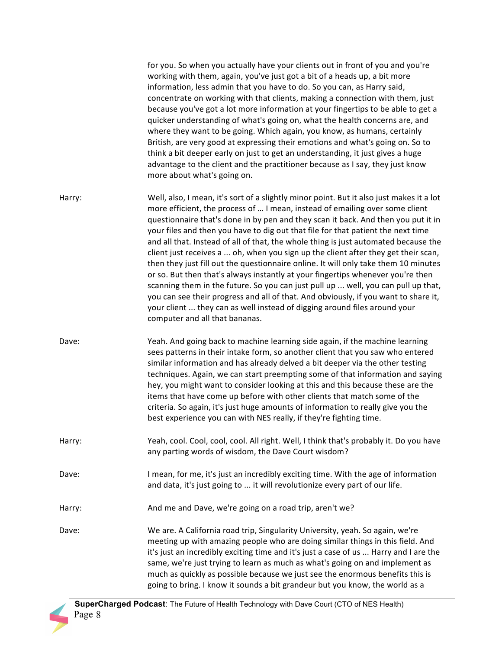|        | for you. So when you actually have your clients out in front of you and you're<br>working with them, again, you've just got a bit of a heads up, a bit more<br>information, less admin that you have to do. So you can, as Harry said,<br>concentrate on working with that clients, making a connection with them, just<br>because you've got a lot more information at your fingertips to be able to get a<br>quicker understanding of what's going on, what the health concerns are, and<br>where they want to be going. Which again, you know, as humans, certainly<br>British, are very good at expressing their emotions and what's going on. So to<br>think a bit deeper early on just to get an understanding, it just gives a huge<br>advantage to the client and the practitioner because as I say, they just know<br>more about what's going on.                                                                                                                                          |
|--------|-----------------------------------------------------------------------------------------------------------------------------------------------------------------------------------------------------------------------------------------------------------------------------------------------------------------------------------------------------------------------------------------------------------------------------------------------------------------------------------------------------------------------------------------------------------------------------------------------------------------------------------------------------------------------------------------------------------------------------------------------------------------------------------------------------------------------------------------------------------------------------------------------------------------------------------------------------------------------------------------------------|
| Harry: | Well, also, I mean, it's sort of a slightly minor point. But it also just makes it a lot<br>more efficient, the process of  I mean, instead of emailing over some client<br>questionnaire that's done in by pen and they scan it back. And then you put it in<br>your files and then you have to dig out that file for that patient the next time<br>and all that. Instead of all of that, the whole thing is just automated because the<br>client just receives a  oh, when you sign up the client after they get their scan,<br>then they just fill out the questionnaire online. It will only take them 10 minutes<br>or so. But then that's always instantly at your fingertips whenever you're then<br>scanning them in the future. So you can just pull up  well, you can pull up that,<br>you can see their progress and all of that. And obviously, if you want to share it,<br>your client  they can as well instead of digging around files around your<br>computer and all that bananas. |
| Dave:  | Yeah. And going back to machine learning side again, if the machine learning<br>sees patterns in their intake form, so another client that you saw who entered<br>similar information and has already delved a bit deeper via the other testing<br>techniques. Again, we can start preempting some of that information and saying<br>hey, you might want to consider looking at this and this because these are the<br>items that have come up before with other clients that match some of the<br>criteria. So again, it's just huge amounts of information to really give you the<br>best experience you can with NES really, if they're fighting time.                                                                                                                                                                                                                                                                                                                                           |
| Harry: | Yeah, cool. Cool, cool, cool. All right. Well, I think that's probably it. Do you have<br>any parting words of wisdom, the Dave Court wisdom?                                                                                                                                                                                                                                                                                                                                                                                                                                                                                                                                                                                                                                                                                                                                                                                                                                                       |
| Dave:  | I mean, for me, it's just an incredibly exciting time. With the age of information<br>and data, it's just going to  it will revolutionize every part of our life.                                                                                                                                                                                                                                                                                                                                                                                                                                                                                                                                                                                                                                                                                                                                                                                                                                   |
| Harry: | And me and Dave, we're going on a road trip, aren't we?                                                                                                                                                                                                                                                                                                                                                                                                                                                                                                                                                                                                                                                                                                                                                                                                                                                                                                                                             |
| Dave:  | We are. A California road trip, Singularity University, yeah. So again, we're<br>meeting up with amazing people who are doing similar things in this field. And<br>it's just an incredibly exciting time and it's just a case of us  Harry and I are the<br>same, we're just trying to learn as much as what's going on and implement as<br>much as quickly as possible because we just see the enormous benefits this is<br>going to bring. I know it sounds a bit grandeur but you know, the world as a                                                                                                                                                                                                                                                                                                                                                                                                                                                                                           |